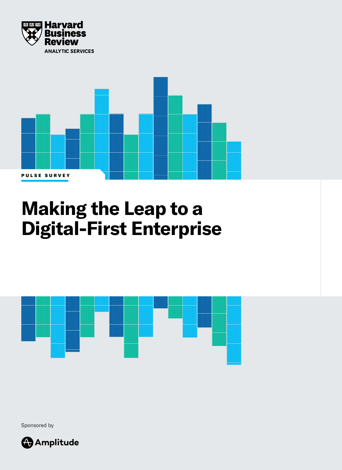



# **Making the Leap to a Digital-First Enterprise**



Sponsored by

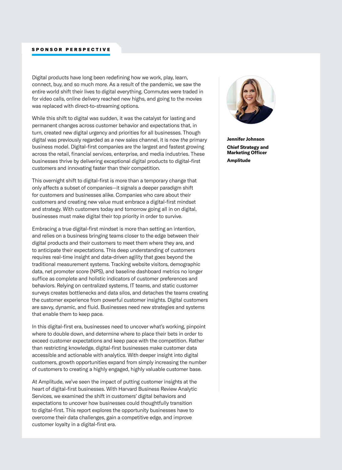Digital products have long been redefining how we work, play, learn, connect, buy, and so much more. As a result of the pandemic, we saw the entire world shift their lives to digital everything. Commutes were traded in for video calls, online delivery reached new highs, and going to the movies was replaced with direct-to-streaming options.

While this shift to digital was sudden, it was the catalyst for lasting and permanent changes across customer behavior and expectations that, in turn, created new digital urgency and priorities for all businesses. Though digital was previously regarded as *a* new sales channel, it is now *the* primary business model. Digital-first companies are the largest and fastest growing across the retail, financial services, enterprise, and media industries. These businesses thrive by delivering exceptional digital products to digital-first customers and innovating faster than their competition.

This overnight shift to digital-first is more than a temporary change that only affects a subset of companies—it signals a deeper paradigm shift for customers and businesses alike. Companies who care about their customers and creating new value must embrace a digital-first mindset and strategy. With customers today and tomorrow going all in on digital, businesses must make digital their top priority in order to survive.

Embracing a true digital-first mindset is more than setting an intention, and relies on a business bringing teams closer to the edge between their digital products and their customers to meet them where they are, and to anticipate their expectations. This deep understanding of customers requires real-time insight and data-driven agility that goes beyond the traditional measurement systems. Tracking website visitors, demographic data, net promoter score (NPS), and baseline dashboard metrics no longer suffice as complete and holistic indicators of customer preferences and behaviors. Relying on centralized systems, IT teams, and static customer surveys creates bottlenecks and data silos, and detaches the teams creating the customer experience from powerful customer insights. Digital customers are savvy, dynamic, and fluid. Businesses need new strategies and systems that enable them to keep pace.

In this digital-first era, businesses need to uncover what's working, pinpoint where to double down, and determine where to place their bets in order to exceed customer expectations and keep pace with the competition. Rather than restricting knowledge, digital-first businesses make customer data accessible and actionable with analytics. With deeper insight into digital customers, growth opportunities expand from simply increasing the number of customers to creating a highly engaged, highly valuable customer base.

At Amplitude, we've seen the impact of putting customer insights at the heart of digital-first businesses. With Harvard Business Review Analytic Services, we examined the shift in customers' digital behaviors and expectations to uncover how businesses could thoughtfully transition to digital-first. This report explores the opportunity businesses have to overcome their data challenges, gain a competitive edge, and improve customer loyalty in a digital-first era.



**Jennifer Johnson Chief Strategy and Marketing Officer Amplitude**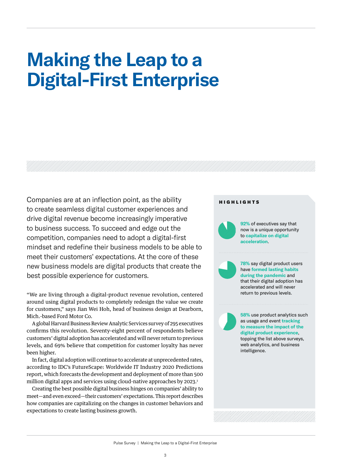## **Making the Leap to a Digital-First Enterprise**

Companies are at an inflection point, as the ability **HIGHLIGHTS** to create seamless digital customer experiences and drive digital revenue become increasingly imperative to business success. To succeed and edge out the competition, companies need to adopt a digital-first mindset and redefine their business models to be able to meet their customers' expectations. At the core of these new business models are digital products that create the best possible experience for customers.

"We are living through a digital-product revenue revolution, centered around using digital products to completely redesign the value we create for customers," says Jian Wei Hoh, head of business design at Dearborn, Mich.-based Ford Motor Co.

A global Harvard Business Review Analytic Services survey of 295 executives confirms this revolution. Seventy-eight percent of respondents believe customers' digital adoption has accelerated and will never return to previous levels, and 69% believe that competition for customer loyalty has never been higher.

In fact, digital adoption will continue to accelerate at unprecedented rates, according to IDC's FutureScape: Worldwide IT Industry 2020 Predictions report, which forecasts the development and deployment of more than 500 million digital apps and services using cloud-native approaches by 2023.<sup>1</sup>

Creating the best possible digital business hinges on companies' ability to meet—and even exceed—their customers' expectations. This report describes how companies are capitalizing on the changes in customer behaviors and expectations to create lasting business growth.



**92%** of executives say that now is a unique opportunity to **capitalize on digital acceleration**.



**78%** say digital product users have **formed lasting habits during the pandemic** and that their digital adoption has accelerated and will never return to previous levels.

**58%** use product analytics such as usage and event **tracking to measure the impact of the digital product experience**, topping the list above surveys, web analytics, and business intelligence.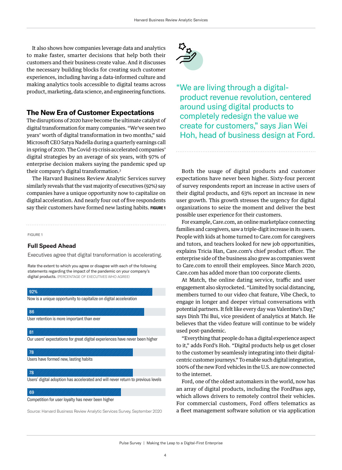It also shows how companies leverage data and analytics to make faster, smarter decisions that help both their customers and their business create value. And it discusses the necessary building blocks for creating such customer experiences, including having a data-informed culture and making analytics tools accessible to digital teams across product, marketing, data science, and engineering functions.

### **The New Era of Customer Expectations**

The disruptions of 2020 have become the ultimate catalyst of digital transformation for many companies. "We've seen two years' worth of digital transformation in two months," said Microsoft CEO Satya Nadella during a quarterly earnings call in spring of 2020. The Covid-19 crisis accelerated companies' digital strategies by an average of six years, with 97% of enterprise decision makers saying the pandemic sped up their company's digital transformation.2

The Harvard Business Review Analytic Services survey similarly reveals that the vast majority of executives (92%) say companies have a unique opportunity now to capitalize on digital acceleration. And nearly four out of five respondents say their customers have formed new lasting habits. FIGURE 1

#### FIGURE 1

#### **Full Speed Ahead**

Executives agree that digital transformation is accelerating.

Rate the extent to which you agree or disagree with each of the following statements regarding the impact of the pandemic on your company's digital products. (PERCENTAGE OF EXECUTIVES WHO AGREE)



Source: Harvard Business Review Analytic Services Survey, September 2020



"We are living through a digitalproduct revenue revolution, centered around using digital products to completely redesign the value we create for customers," says Jian Wei Hoh, head of business design at Ford.

Both the usage of digital products and customer expectations have never been higher. Sixty-four percent of survey respondents report an increase in active users of their digital products, and 63% report an increase in new user growth. This growth stresses the urgency for digital organizations to seize the moment and deliver the best possible user experience for their customers.

For example, Care.com, an online marketplace connecting families and caregivers, saw a triple-digit increase in its users. People with kids at home turned to Care.com for caregivers and tutors, and teachers looked for new job opportunities, explains Tricia Han, Care.com's chief product officer. The enterprise side of the business also grew as companies went to Care.com to enroll their employees. Since March 2020, Care.com has added more than 100 corporate clients.

At Match, the online dating service, traffic and user engagement also skyrocketed. "Limited by social distancing, members turned to our video chat feature, Vibe Check, to engage in longer and deeper virtual conversations with potential partners. It felt like every day was Valentine's Day," says Dinh Thi Bui, vice president of analytics at Match. He believes that the video feature will continue to be widely used post-pandemic.

"Everything that people do has a digital experience aspect to it," adds Ford's Hoh. "Digital products help us get closer to the customer by seamlessly integrating into their digitalcentric customer journeys." To enable such digital integration, 100% of the new Ford vehicles in the U.S. are now connected to the internet.

Ford, one of the oldest automakers in the world, now has an array of digital products, including the FordPass app, which allows drivers to remotely control their vehicles. For commercial customers, Ford offers telematics as a fleet management software solution or via application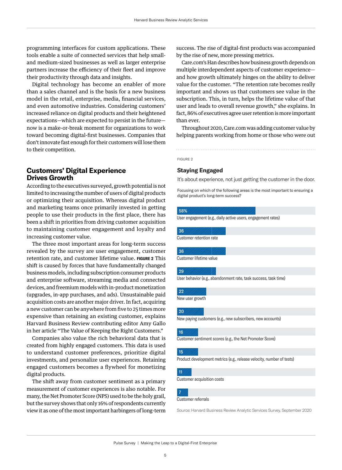programming interfaces for custom applications. These tools enable a suite of connected services that help smalland medium-sized businesses as well as larger enterprise partners increase the efficiency of their fleet and improve their productivity through data and insights.

Digital technology has become an enabler of more than a sales channel and is the basis for a new business model in the retail, enterprise, media, financial services, and even automotive industries. Considering customers' increased reliance on digital products and their heightened expectations—which are expected to persist in the future now is a make-or-break moment for organizations to work toward becoming digital-first businesses. Companies that don't innovate fast enough for their customers will lose them to their competition.

## **Customers' Digital Experience Drives Growth**

According to the executives surveyed, growth potential is not limited to increasing the number of users of digital products or optimizing their acquisition. Whereas digital product and marketing teams once primarily invested in getting people to use their products in the first place, there has been a shift in priorities from driving customer acquisition to maintaining customer engagement and loyalty and increasing customer value.

The three most important areas for long-term success revealed by the survey are user engagement, customer retention rate, and customer lifetime value. **FIGURE 2** This shift is caused by forces that have fundamentally changed business models, including subscription consumer products and enterprise software, streaming media and connected devices, and freemium models with in-product monetization (upgrades, in-app purchases, and ads). Unsustainable paid acquisition costs are another major driver. In fact, acquiring a new customer can be anywhere from five to 25 times more expensive than retaining an existing customer, explains Harvard Business Review contributing editor Amy Gallo in her article "The Value of Keeping the Right Customers."

Companies also value the rich behavioral data that is created from highly engaged customers. This data is used to understand customer preferences, prioritize digital investments, and personalize user experiences. Retaining engaged customers becomes a flywheel for monetizing digital products.

The shift away from customer sentiment as a primary measurement of customer experiences is also notable. For many, the Net Promoter Score (NPS) used to be the holy grail, but the survey shows that only 16% of respondents currently view it as one of the most important harbingers of long-term

success. The rise of digital-first products was accompanied by the rise of new, more pressing metrics.

Care.com's Han describes how business growth depends on multiple interdependent aspects of customer experience and how growth ultimately hinges on the ability to deliver value for the customer. "The retention rate becomes really important and shows us that customers see value in the subscription. This, in turn, helps the lifetime value of that user and leads to overall revenue growth," she explains. In fact, 86% of executives agree user retention is more important than ever.

Throughout 2020, Care.com was adding customer value by helping parents working from home or those who were out

FIGURE 2

#### **Staying Engaged**

It's about experience, not just getting the customer in the door.

Focusing on which of the following areas is the most important to ensuring a digital product's long-term success?

#### 58%

User engagement (e.g., daily active users, engagement rates)

## 36

Customer retention rate

## 36

Customer lifetime value

#### $\sqrt{29}$

User behavior (e.g., abandonment rate, task success, task time)

#### 22

New user growth

#### $\sqrt{20}$

New paying customers (e.g., new subscribers, new accounts)

#### 16

Customer sentiment scores (e.g., the Net Promoter Score)

#### 15

Product development metrics (e.g., release velocity, number of tests)

## 111.

7

Customer acquisition costs

### Customer referrals

Source: Harvard Business Review Analytic Services Survey, September 2020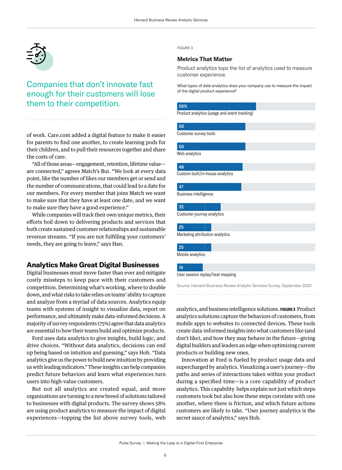

## Companies that don't innovate fast enough for their customers will lose them to their competition.

of work. Care.com added a digital feature to make it easier for parents to find one another, to create learning pods for their children, and to pull their resources together and share the costs of care.

"All of those areas—engagement, retention, lifetime value are connected," agrees Match's Bui. "We look at every data point, like the number of likes our members get or send and the number of communications, that could lead to a date for our members. For every member that joins Match we want to make sure that they have at least one date, and we wan to make sure they have a good experience."

While companies will track their own unique metrics, their efforts boil down to delivering products and services that both create sustained customer relationships and sustainable revenue streams. "If you are not fulfilling your customers' needs, they are going to leave," says Han.

## **Analytics Make Great Digital Businesses**

Digital businesses must move faster than ever and mitigate costly missteps to keep pace with their customers and competition. Determining what's working, where to double down, and what risks to take relies on teams' ability to capture and analyze from a myriad of data sources. Analytics equip teams with systems of insight to visualize data, report on performance, and ultimately make data-informed decisions. A majority of survey respondents (75%) agree that data analytics are essential to how their teams build and optimize products.

Ford uses data analytics to give insights, build logic, and drive choices. "Without data analytics, decisions can end up being based on intuition and guessing," says Hoh. "Data analytics give us the power to build new intuition by providing us with leading indicators." These insights can help companies predict future behaviors and learn what experiences turn users into high-value customers.

But not all analytics are created equal, and more organizations are turning to a new breed of solutions tailored to businesses with digital products. The survey shows 58% are using product analytics to measure the impact of digital experiences—topping the list above survey tools, web

FIGURE 3

#### **Metrics That Matter**

Product analytics tops the list of analytics used to measure customer experience.

What types of data analytics does your company use to measure the impact of the digital product experience?

| 58%                                          |  |
|----------------------------------------------|--|
| Product analytics (usage and event tracking) |  |
|                                              |  |
| 50                                           |  |
| Customer survey tools                        |  |
| 50                                           |  |
| Web analytics                                |  |
|                                              |  |
| 48                                           |  |
| Custom-built/in-house analytics              |  |
|                                              |  |
| 47                                           |  |
| Business intelligence                        |  |
| 32                                           |  |
| Customer journey analytics                   |  |
|                                              |  |
| 25                                           |  |
| Marketing attribution analytics              |  |
|                                              |  |
| 25                                           |  |

Mobile analytics

#### 19

User session replay/heat mapping

Source: Harvard Business Review Analytic Services Survey, September 2020

analytics, and business intelligence solutions. **FIGURE 3** Product analytics solutions capture the behaviors of customers, from mobile apps to websites to connected devices. These tools create data-informed insights into what customers like (and don't like), and how they may behave in the future—giving digital builders and leaders an edge when optimizing current products or building new ones.

Innovation at Ford is fueled by product usage data and supercharged by analytics. Visualizing a user's journey—the paths and series of interactions taken within your product during a specified time—is a core capability of product analytics. This capability helps explain not just which steps customers took but also how these steps correlate with one another, where there is friction, and which future actions customers are likely to take. "User journey analytics is the secret sauce of analytics," says Hoh.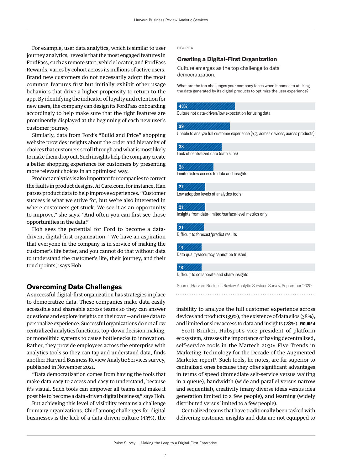For example, user data analytics, which is similar to user journey analytics, reveals that the most engaged features in FordPass, such as remote start, vehicle locator, and FordPass Rewards, varies by cohort across its millions of active users. Brand new customers do not necessarily adopt the most common features first but initially exhibit other usage behaviors that drive a higher propensity to return to the app. By identifying the indicator of loyalty and retention for new users, the company can design its FordPass onboarding accordingly to help make sure that the right features are prominently displayed at the beginning of each new user's customer journey.

Similarly, data from Ford's "Build and Price" shopping website provides insights about the order and hierarchy of choices that customers scroll through and what is most likely to make them drop out. Such insights help the company create a better shopping experience for customers by presenting more relevant choices in an optimized way.

Product analytics is also important for companies to correct the faults in product designs. At Care.com, for instance, Han parses product data to help improve experiences. "Customer success is what we strive for, but we're also interested in where customers get stuck. We see it as an opportunity to improve," she says. "And often you can first see those opportunities in the data."

Hoh sees the potential for Ford to become a datadriven, digital-first organization. "We have an aspiration that everyone in the company is in service of making the customer's life better, and you cannot do that without data to understand the customer's life, their journey, and their touchpoints," says Hoh.

## **Overcoming Data Challenges**

A successful digital-first organization has strategies in place to democratize data. These companies make data easily accessible and shareable across teams so they can answer questions and explore insights on their own—and use data to personalize experience. Successful organizations do not allow centralized analytics functions, top-down decision making, or monolithic systems to cause bottlenecks to innovation. Rather, they provide employees across the enterprise with analytics tools so they can tap and understand data, finds another Harvard Business Review Analytic Services survey, published in November 2021.

"Data democratization comes from having the tools that make data easy to access and easy to understand, because it's visual. Such tools can empower all teams and make it possible to become a data-driven digital business," says Hoh.

But achieving this level of visibility remains a challenge for many organizations. Chief among challenges for digital businesses is the lack of a data-driven culture (43%), the

#### FIGURE 4

#### **Creating a Digital-First Organization**

Culture emerges as the top challenge to data democratization.

What are the top challenges your company faces when it comes to utilizing the data generated by its digital products to optimize the user experience?

#### 43%

Culture not data-driven/low expectation for using data

#### 39

Unable to analyze full customer experience (e.g., across devices, across products)

#### 38

Lack of centralized data (data silos)

#### 28

Limited/slow access to data and insights

#### $\sqrt{21}$

Low adoption levels of analytics tools

#### 21

Insights from data-limited/surface-level metrics only

#### 2**1**

Difficult to forecast/predict results

#### 19.

Data quality/accuracy cannot be trusted

#### 18

Difficult to collaborate and share insights

Source: Harvard Business Review Analytic Services Survey, September 2020

inability to analyze the full customer experience across devices and products (39%), the existence of data silos (38%), and limited or slow access to data and insights (28%). **FIGURE 4**

Scott Brinker, Hubspot's vice president of platform ecosystem, stresses the importance of having decentralized, self-service tools in the Martech 2030: Five Trends in Marketing Technology for the Decade of the Augmented Marketer report<sup>3</sup>. Such tools, he notes, are far superior to centralized ones because they offer significant advantages in terms of speed (immediate self-service versus waiting in a queue), bandwidth (wide and parallel versus narrow and sequential), creativity (many diverse ideas versus idea generation limited to a few people), and learning (widely distributed versus limited to a few people).

Centralized teams that have traditionally been tasked with delivering customer insights and data are not equipped to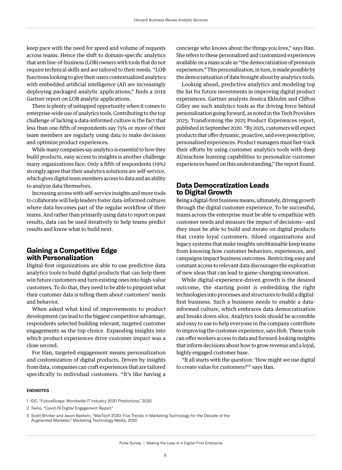keep pace with the need for speed and volume of requests across teams. Hence the shift to domain-specific analytics that arm line-of-business (LOB) owners with tools that do not require technical skills and are tailored to their needs. "LOB functions looking to give their users contextualized analytics with embedded artificial intelligence (AI) are increasingly deploying packaged analytic applications," finds a 2019 Gartner report on LOB analytic applications.

There is plenty of untapped opportunity when it comes to enterprise-wide use of analytics tools. Contributing to the top challenge of lacking a data-informed culture is the fact that less than one-fifth of respondents say 75% or more of their team members are regularly using data to make decisions and optimize product experiences.

While many companies say analytics is essential to how they build products, easy access to insights is another challenge many organizations face. Only a fifth of respondents (19%) strongly agree that their analytics solutions are self-service, which gives digital team members access to data and an ability to analyze data themselves.

Increasing access with self-service insights and more tools to collaborate will help leaders foster data-informed cultures where data becomes part of the regular workflow of their teams. And rather than primarily using data to report on past results, data can be used iteratively to help teams predict results and know what to build next.

## **Gaining a Competitive Edge with Personalization**

Digital-first organizations are able to use predictive data analytics tools to build digital products that can help them win future customers and turn existing ones into high-value customers. To do that, they need to be able to pinpoint what their customer data is telling them about customers' needs and behavior.

When asked what kind of improvements to product development can lead to the biggest competitive advantage, respondents selected building relevant, targeted customer engagements as the top choice. Expanding insights into which product experiences drive customer impact was a close second.

For Han, targeted engagement means personalization and customization of digital products. Driven by insights from data, companies can craft experiences that are tailored specifically to individual customers. "It's like having a

concierge who knows about the things you love," says Han. She refers to these personalized and customized experiences available on a mass scale as "the democratization of premium experiences." This personalization, in turn, is made possible by the democratization of data brought about by analytics tools.

Looking ahead, predictive analytics and modeling top the list for future investments in improving digital product experiences. Gartner analysts Jessica Ekholm and Clifton Gilley see such analytics tools as the driving force behind personalization going forward, as noted in the Tech Providers 2025: Transforming the 2025 Product Experiences report, published in September 2020. "By 2025, customers will expect products that offer dynamic, proactive, and even prescriptive, personalized experiences. Product managers must fast-track their efforts by using customer analytics tools with deep AI/machine learning capabilities to personalize customer experiences based on this understanding," the report found.

## **Data Democratization Leads to Digital Growth**

Being a digital-first business means, ultimately, driving growth through the digital customer experience. To be successful, teams across the enterprise must be able to empathize with customer needs and measure the impact of decisions—and they must be able to build and iterate on digital products that create loyal customers. Siloed organizations and legacy systems that make insights unobtainable keep teams from knowing how customer behaviors, experiences, and campaigns impact business outcomes. Restricting easy and constant access to relevant data discourages the exploration of new ideas that can lead to game-changing innovation.

While digital-experience-driven growth is the desired outcome, the starting point is embedding the right technologies into processes and structures to build a digitalfirst business. Such a business needs to enable a datainformed culture, which embraces data democratization and breaks down silos. Analytics tools should be accessible and easy to use to help everyone in the company contribute to improving the customer experience, says Hoh. These tools can offer workers access to data and forward-looking insights that inform decisions about how to grow revenue and a loyal, highly engaged customer base.

"It all starts with the question: 'How might we use digital to create value for customers?'" says Han.

#### **ENDNOTES**

1 IDC, "FutureScape: Worldwide IT Industry 2020 Predictions," 2020.

2 Twilio, "Covid-19 Digital Engagement Report."

<sup>3</sup> Scott Brinker and Jason Baldwin, "MarTech 2030: Five Trends in Marketing Technology for the Decade of the Augmented Marketer," Marketing Technology Media, 2020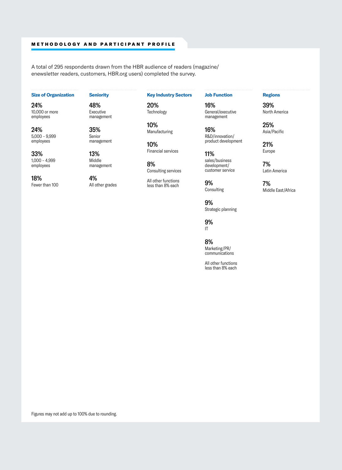#### METHODOLOGY AND PARTICIPANT PROFILE

A total of 295 respondents drawn from the HBR audience of readers (magazine/ enewsletter readers, customers, HBR.org users) completed the survey.

#### **Size of Organization**

24% 10,000 or more employees

24% 5,000 – 9,999 employees

33% 1,000 – 4,999 employees

18% Fewer than 100 **Seniority**

48% Executive management

35% Senior management

13% Middle management

4% All other grades **Key Industry Sectors**

20% **Technology** 

> 10% Manufacturing

10% Financial services

8% Consulting services

All other functions less than 8% each

**Job Function**

16% General/executive management

16% R&D/innovation/ product development

11% sales/business development/ customer service

9% **Consulting** 

9% Strategic planning

9% IT

8%

Marketing/PR/ communications

All other functions less than 8% each

#### **Regions**

39% North America

25% Asia/Pacific

21% Europe

7% Latin America

7% Middle East/Africa